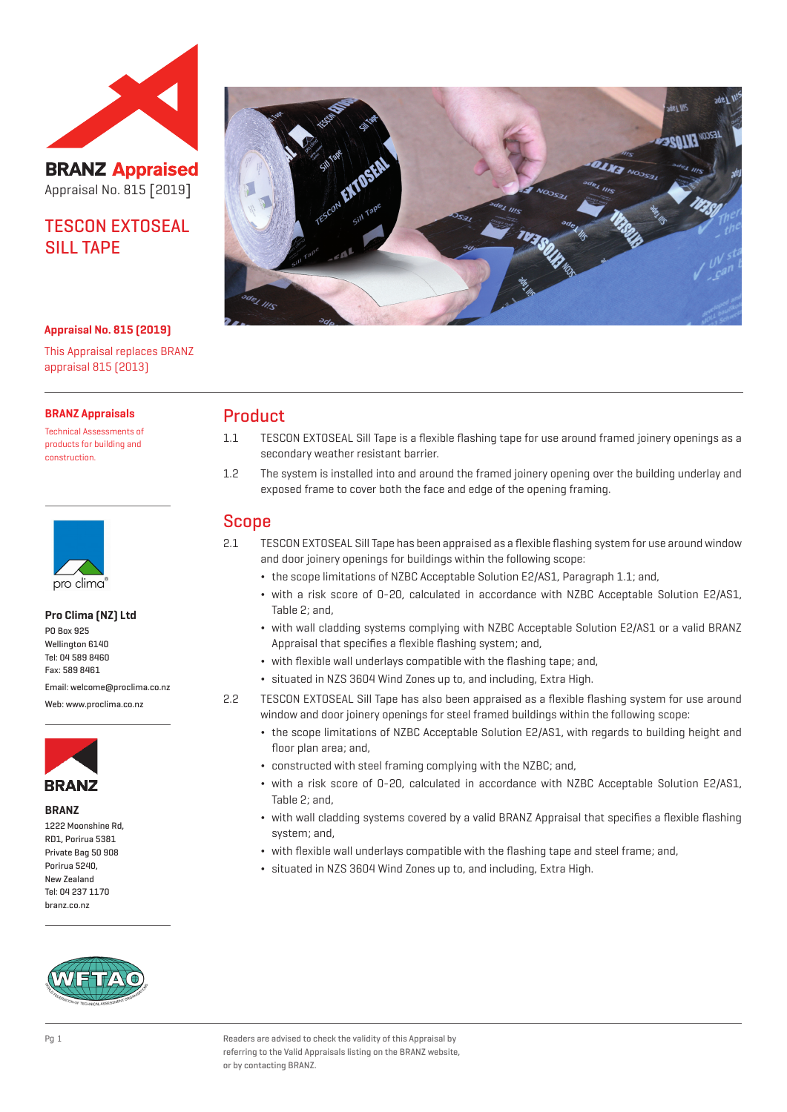

# **BRANZ Appraised** Appraisal No. 815 [2019]

## TESCON EXTOSEAL SILL TAPF

#### **Appraisal No. 815 (2019)**

This Appraisal replaces BRANZ appraisal 815 (2013)

#### **BRANZ Appraisals**

Technical Assessments of products for building and construction.



#### **Pro Clima (NZ) Ltd**

PO Box 925 Wellington 6140 Tel: 04 589 8460 Fax: 589 8461

Email: welcome@proclima.co.nz

Web: www.proclima.co.nz



#### **BRANZ**

1222 Moonshine Rd, RD1, Porirua 5381 Private Bag 50 908 Porirua 5240, New Zealand Tel: 04 237 1170 branz.co.nz





### Product

- 1.1 TESCON EXTOSEAL Sill Tape is a flexible flashing tape for use around framed joinery openings as a secondary weather resistant barrier.
- 1.2 The system is installed into and around the framed joinery opening over the building underlay and exposed frame to cover both the face and edge of the opening framing.

### Scope

- 2.1 TESCON EXTOSEAL Sill Tape has been appraised as a flexible flashing system for use around window and door joinery openings for buildings within the following scope:
	- ¬ the scope limitations of NZBC Acceptable Solution E2/AS1, Paragraph 1.1; and,
	- ¬ with a risk score of 0-20, calculated in accordance with NZBC Acceptable Solution E2/AS1, Table 2; and,
	- ¬ with wall cladding systems complying with NZBC Acceptable Solution E2/AS1 or a valid BRANZ Appraisal that specifies a flexible flashing system; and,
	- ¬ with flexible wall underlays compatible with the flashing tape; and,
	- ¬ situated in NZS 3604 Wind Zones up to, and including, Extra High.
- 2.2 TESCON EXTOSEAL Sill Tape has also been appraised as a flexible flashing system for use around window and door joinery openings for steel framed buildings within the following scope:
	- ¬ the scope limitations of NZBC Acceptable Solution E2/AS1, with regards to building height and floor plan area; and,
	- ¬ constructed with steel framing complying with the NZBC; and,
	- ¬ with a risk score of 0-20, calculated in accordance with NZBC Acceptable Solution E2/AS1, Table 2; and,
	- ¬ with wall cladding systems covered by a valid BRANZ Appraisal that specifies a flexible flashing system; and,
	- ¬ with flexible wall underlays compatible with the flashing tape and steel frame; and,
	- ¬ situated in NZS 3604 Wind Zones up to, and including, Extra High.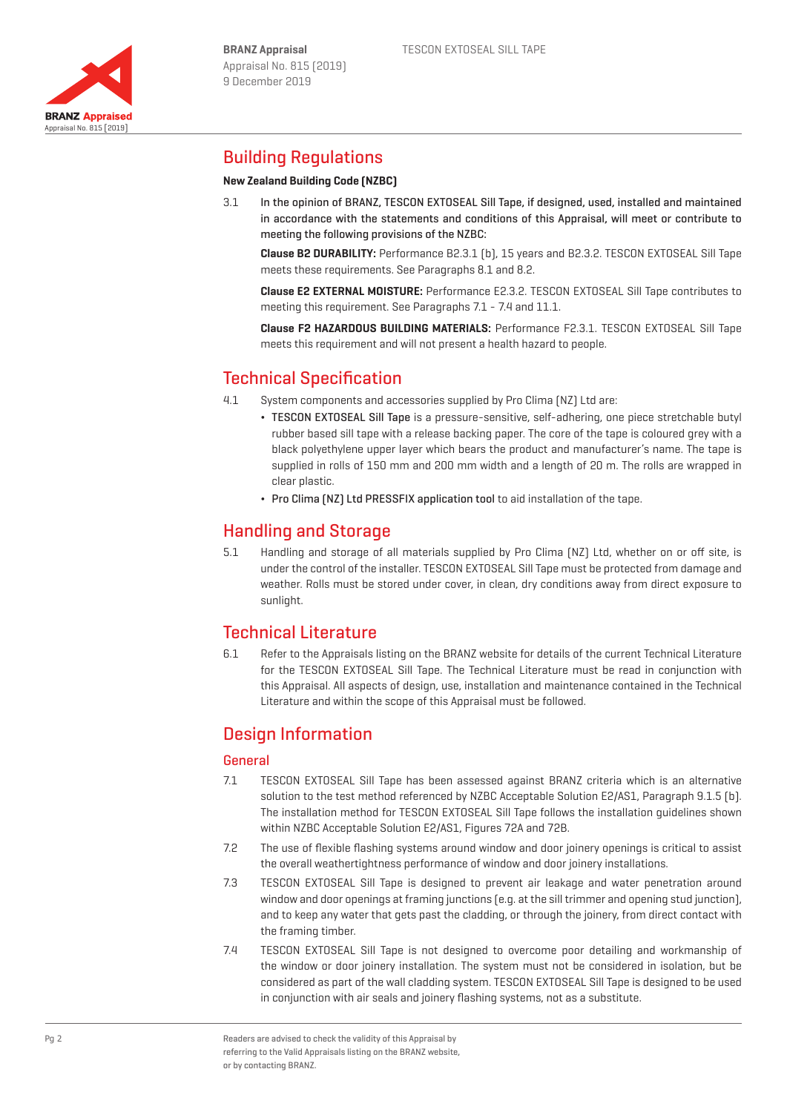



## Building Regulations

### **New Zealand Building Code (NZBC)**

3.1 In the opinion of BRANZ, TESCON EXTOSEAL Sill Tape, if designed, used, installed and maintained in accordance with the statements and conditions of this Appraisal, will meet or contribute to meeting the following provisions of the NZBC:

**Clause B2 DURABILITY:** Performance B2.3.1 (b), 15 years and B2.3.2. TESCON EXTOSEAL Sill Tape meets these requirements. See Paragraphs 8.1 and 8.2.

**Clause E2 EXTERNAL MOISTURE:** Performance E2.3.2. TESCON EXTOSEAL Sill Tape contributes to meeting this requirement. See Paragraphs 7.1 - 7.4 and 11.1.

**Clause F2 HAZARDOUS BUILDING MATERIALS:** Performance F2.3.1. TESCON EXTOSEAL Sill Tape meets this requirement and will not present a health hazard to people.

# Technical Specification

- 4.1 System components and accessories supplied by Pro Clima (NZ) Ltd are:
	- ¬ TESCON EXTOSEAL Sill Tape is a pressure-sensitive, self-adhering, one piece stretchable butyl rubber based sill tape with a release backing paper. The core of the tape is coloured grey with a black polyethylene upper layer which bears the product and manufacturer's name. The tape is supplied in rolls of 150 mm and 200 mm width and a length of 20 m. The rolls are wrapped in clear plastic.
	- Pro Clima [NZ] Ltd PRESSFIX application tool to aid installation of the tape.

## Handling and Storage

5.1 Handling and storage of all materials supplied by Pro Clima (NZ) Ltd, whether on or off site, is under the control of the installer. TESCON EXTOSEAL Sill Tape must be protected from damage and weather. Rolls must be stored under cover, in clean, dry conditions away from direct exposure to sunlight.

## Technical Literature

6.1 Refer to the Appraisals listing on the BRANZ website for details of the current Technical Literature for the TESCON EXTOSEAL Sill Tape. The Technical Literature must be read in conjunction with this Appraisal. All aspects of design, use, installation and maintenance contained in the Technical Literature and within the scope of this Appraisal must be followed.

# Design Information

### General

- 7.1 TESCON EXTOSEAL Sill Tape has been assessed against BRANZ criteria which is an alternative solution to the test method referenced by NZBC Acceptable Solution E2/AS1, Paragraph 9.1.5 [b]. The installation method for TESCON EXTOSEAL Sill Tape follows the installation guidelines shown within NZBC Acceptable Solution E2/AS1, Figures 72A and 72B.
- 7.2 The use of flexible flashing systems around window and door joinery openings is critical to assist the overall weathertightness performance of window and door joinery installations.
- 7.3 TESCON EXTOSEAL Sill Tape is designed to prevent air leakage and water penetration around window and door openings at framing junctions [e.g. at the sill trimmer and opening stud junction], and to keep any water that gets past the cladding, or through the joinery, from direct contact with the framing timber.
- 7.4 TESCON EXTOSEAL Sill Tape is not designed to overcome poor detailing and workmanship of the window or door joinery installation. The system must not be considered in isolation, but be considered as part of the wall cladding system. TESCON EXTOSEAL Sill Tape is designed to be used in conjunction with air seals and joinery flashing systems, not as a substitute.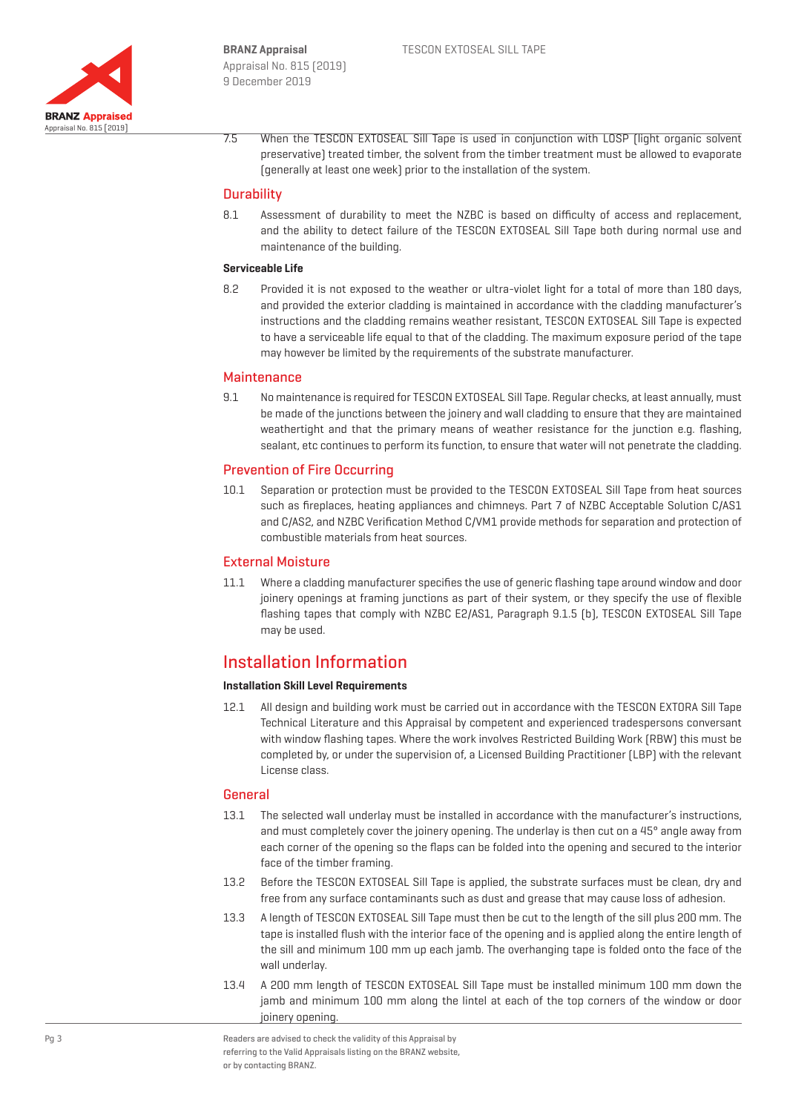

7.5 When the TESCON EXTOSEAL Sill Tape is used in conjunction with LOSP (light organic solvent preservative) treated timber, the solvent from the timber treatment must be allowed to evaporate (generally at least one week) prior to the installation of the system.

#### **Durability**

8.1 Assessment of durability to meet the NZBC is based on difficulty of access and replacement, and the ability to detect failure of the TESCON EXTOSEAL Sill Tape both during normal use and maintenance of the building.

#### **Serviceable Life**

8.2 Provided it is not exposed to the weather or ultra-violet light for a total of more than 180 days, and provided the exterior cladding is maintained in accordance with the cladding manufacturer's instructions and the cladding remains weather resistant, TESCON EXTOSEAL Sill Tape is expected to have a serviceable life equal to that of the cladding. The maximum exposure period of the tape may however be limited by the requirements of the substrate manufacturer.

#### **Maintenance**

9.1 No maintenance is required for TESCON EXTOSEAL Sill Tape. Regular checks, at least annually, must be made of the junctions between the joinery and wall cladding to ensure that they are maintained weathertight and that the primary means of weather resistance for the junction e.g. flashing, sealant, etc continues to perform its function, to ensure that water will not penetrate the cladding.

#### Prevention of Fire Occurring

10.1 Separation or protection must be provided to the TESCON EXTOSEAL Sill Tape from heat sources such as fireplaces, heating appliances and chimneys. Part 7 of NZBC Acceptable Solution C/AS1 and C/AS2, and NZBC Verification Method C/VM1 provide methods for separation and protection of combustible materials from heat sources.

#### External Moisture

11.1 Where a cladding manufacturer specifies the use of generic flashing tape around window and door joinery openings at framing junctions as part of their system, or they specify the use of flexible flashing tapes that comply with NZBC E2/AS1, Paragraph 9.1.5 (b), TESCON EXTOSEAL Sill Tape may be used.

## Installation Information

#### **Installation Skill Level Requirements**

12.1 All design and building work must be carried out in accordance with the TESCON EXTORA Sill Tape Technical Literature and this Appraisal by competent and experienced tradespersons conversant with window flashing tapes. Where the work involves Restricted Building Work (RBW) this must be completed by, or under the supervision of, a Licensed Building Practitioner (LBP) with the relevant License class.

### General

- 13.1 The selected wall underlay must be installed in accordance with the manufacturer's instructions, and must completely cover the joinery opening. The underlay is then cut on a 45° angle away from each corner of the opening so the flaps can be folded into the opening and secured to the interior face of the timber framing.
- 13.2 Before the TESCON EXTOSEAL Sill Tape is applied, the substrate surfaces must be clean, dry and free from any surface contaminants such as dust and grease that may cause loss of adhesion.
- 13.3 A length of TESCON EXTOSEAL Sill Tape must then be cut to the length of the sill plus 200 mm. The tape is installed flush with the interior face of the opening and is applied along the entire length of the sill and minimum 100 mm up each jamb. The overhanging tape is folded onto the face of the wall underlay.
- 13.4 A 200 mm length of TESCON EXTOSEAL Sill Tape must be installed minimum 100 mm down the jamb and minimum 100 mm along the lintel at each of the top corners of the window or door joinery opening.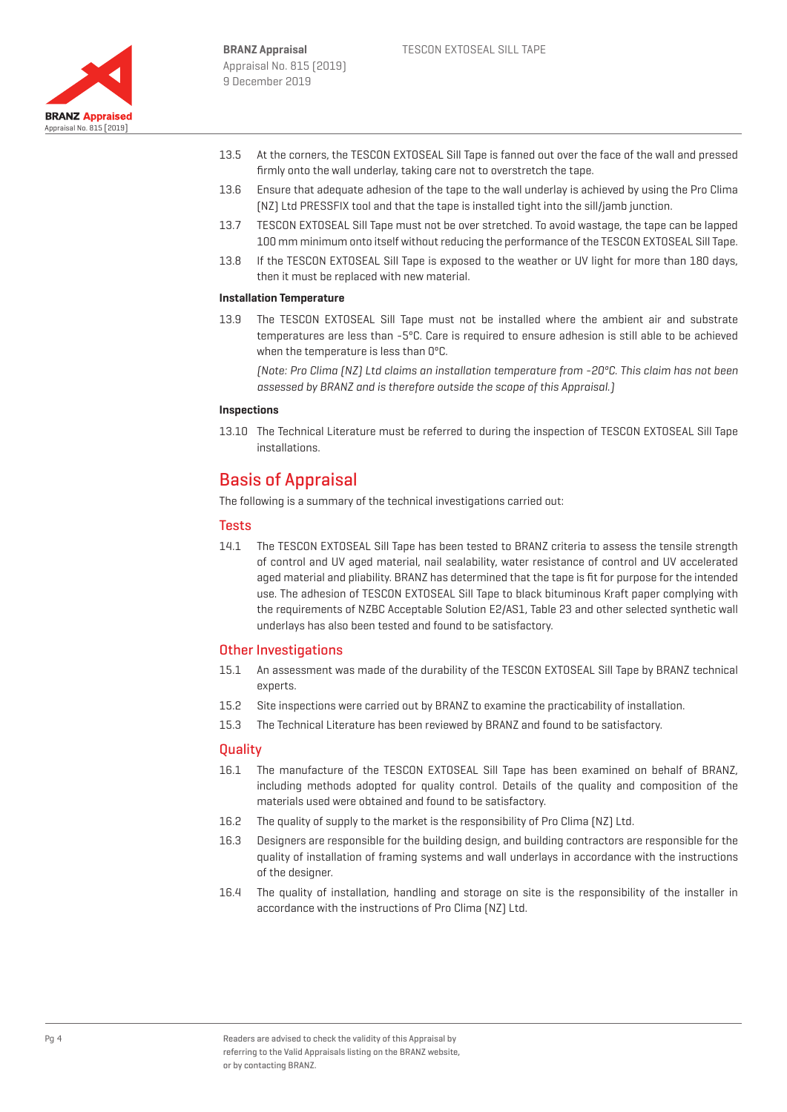

- 13.5 At the corners, the TESCON EXTOSEAL Sill Tape is fanned out over the face of the wall and pressed firmly onto the wall underlay, taking care not to overstretch the tape.
- 13.6 Ensure that adequate adhesion of the tape to the wall underlay is achieved by using the Pro Clima (NZ) Ltd PRESSFIX tool and that the tape is installed tight into the sill/jamb junction.
- 13.7 TESCON EXTOSEAL Sill Tape must not be over stretched. To avoid wastage, the tape can be lapped 100 mm minimum onto itself without reducing the performance of the TESCON EXTOSEAL Sill Tape.
- 13.8 If the TESCON EXTOSEAL Sill Tape is exposed to the weather or UV light for more than 180 days, then it must be replaced with new material.

#### **Installation Temperature**

13.9 The TESCON EXTOSEAL Sill Tape must not be installed where the ambient air and substrate temperatures are less than -5ºC. Care is required to ensure adhesion is still able to be achieved when the temperature is less than 0ºC.

(Note: Pro Clima (NZ) Ltd claims an installation temperature from -20ºC. This claim has not been assessed by BRANZ and is therefore outside the scope of this Appraisal.)

#### **Inspections**

13.10 The Technical Literature must be referred to during the inspection of TESCON EXTOSEAL Sill Tape installations.

### Basis of Appraisal

The following is a summary of the technical investigations carried out:

#### **Tests**

14.1 The TESCON EXTOSEAL Sill Tape has been tested to BRANZ criteria to assess the tensile strength of control and UV aged material, nail sealability, water resistance of control and UV accelerated aged material and pliability. BRANZ has determined that the tape is fit for purpose for the intended use. The adhesion of TESCON EXTOSEAL Sill Tape to black bituminous Kraft paper complying with the requirements of NZBC Acceptable Solution E2/AS1, Table 23 and other selected synthetic wall underlays has also been tested and found to be satisfactory.

#### Other Investigations

- 15.1 An assessment was made of the durability of the TESCON EXTOSEAL Sill Tape by BRANZ technical experts.
- 15.2 Site inspections were carried out by BRANZ to examine the practicability of installation.
- 15.3 The Technical Literature has been reviewed by BRANZ and found to be satisfactory.

#### **Quality**

- 16.1 The manufacture of the TESCON EXTOSEAL Sill Tape has been examined on behalf of BRANZ, including methods adopted for quality control. Details of the quality and composition of the materials used were obtained and found to be satisfactory.
- 16.2 The quality of supply to the market is the responsibility of Pro Clima (NZ) Ltd.
- 16.3 Designers are responsible for the building design, and building contractors are responsible for the quality of installation of framing systems and wall underlays in accordance with the instructions of the designer.
- 16.4 The quality of installation, handling and storage on site is the responsibility of the installer in accordance with the instructions of Pro Clima (NZ) Ltd.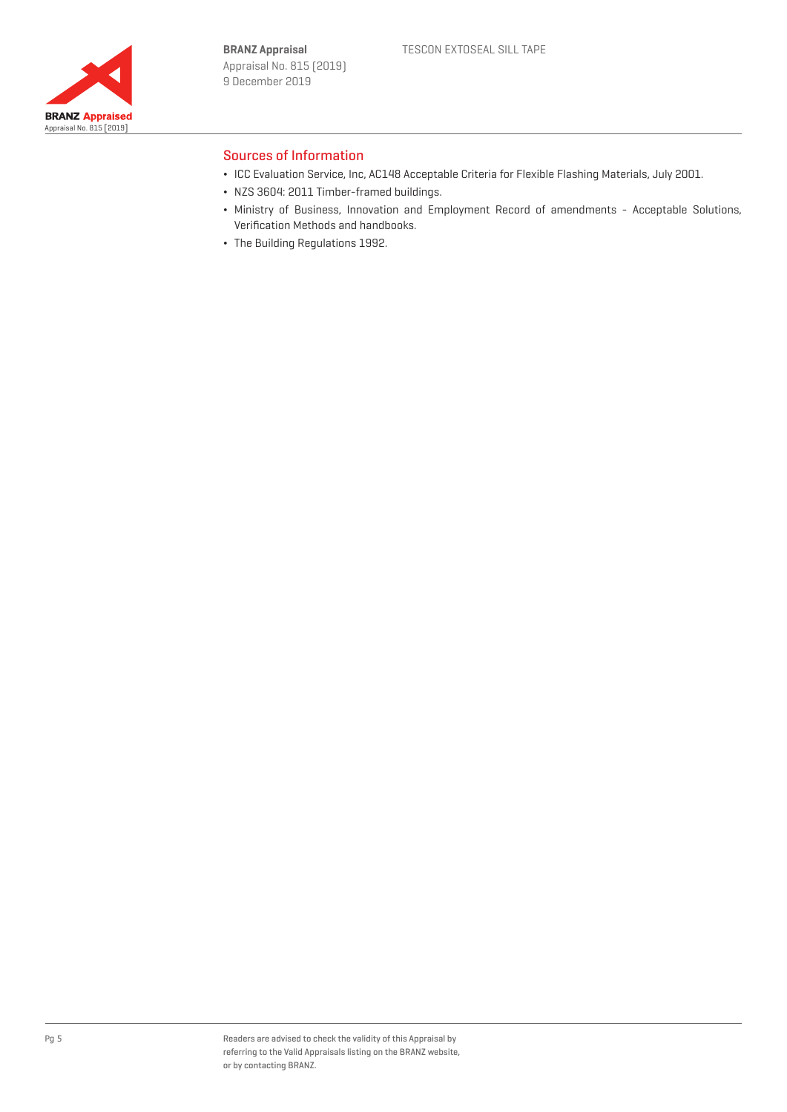

### Sources of Information

- ¬ ICC Evaluation Service, Inc, AC148 Acceptable Criteria for Flexible Flashing Materials, July 2001.
- ¬ NZS 3604: 2011 Timber-framed buildings.
- ¬ Ministry of Business, Innovation and Employment Record of amendments Acceptable Solutions, Verification Methods and handbooks.
- ¬ The Building Regulations 1992.